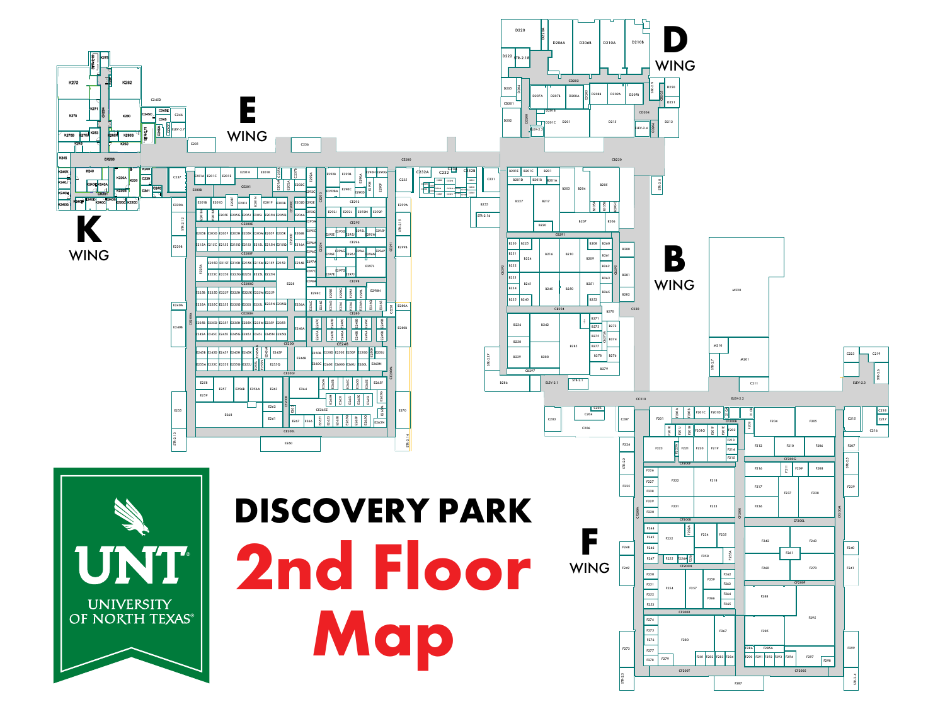